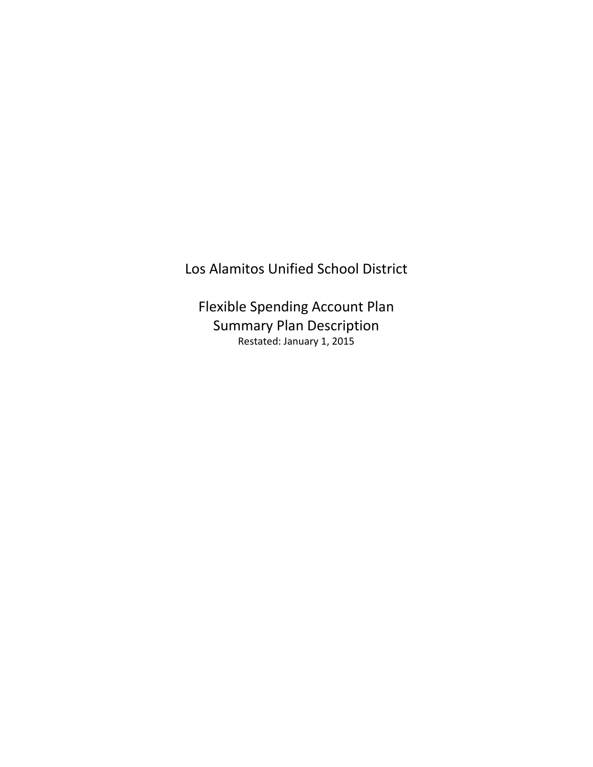# Los Alamitos Unified School District

Flexible Spending Account Plan Summary Plan Description Restated: January 1, 2015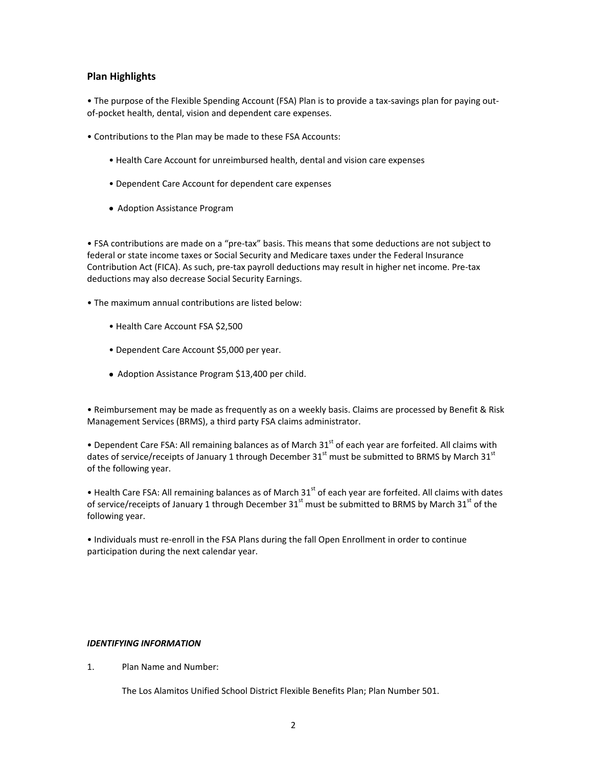# **Plan Highlights**

• The purpose of the Flexible Spending Account (FSA) Plan is to provide a tax-savings plan for paying outof-pocket health, dental, vision and dependent care expenses.

- Contributions to the Plan may be made to these FSA Accounts:
	- Health Care Account for unreimbursed health, dental and vision care expenses
	- Dependent Care Account for dependent care expenses
	- Adoption Assistance Program

• FSA contributions are made on a "pre-tax" basis. This means that some deductions are not subject to federal or state income taxes or Social Security and Medicare taxes under the Federal Insurance Contribution Act (FICA). As such, pre-tax payroll deductions may result in higher net income. Pre-tax deductions may also decrease Social Security Earnings.

- The maximum annual contributions are listed below:
	- Health Care Account FSA \$2,500
	- Dependent Care Account \$5,000 per year.
	- Adoption Assistance Program \$13,400 per child.

• Reimbursement may be made as frequently as on a weekly basis. Claims are processed by Benefit & Risk Management Services (BRMS), a third party FSA claims administrator.

• Dependent Care FSA: All remaining balances as of March 31<sup>st</sup> of each year are forfeited. All claims with dates of service/receipts of January 1 through December 31<sup>st</sup> must be submitted to BRMS by March 31<sup>st</sup> of the following year.

• Health Care FSA: All remaining balances as of March  $31<sup>st</sup>$  of each year are forfeited. All claims with dates of service/receipts of January 1 through December 31<sup>st</sup> must be submitted to BRMS by March 31<sup>st</sup> of the following year.

• Individuals must re-enroll in the FSA Plans during the fall Open Enrollment in order to continue participation during the next calendar year.

### *IDENTIFYING INFORMATION*

1. Plan Name and Number:

The Los Alamitos Unified School District Flexible Benefits Plan; Plan Number 501.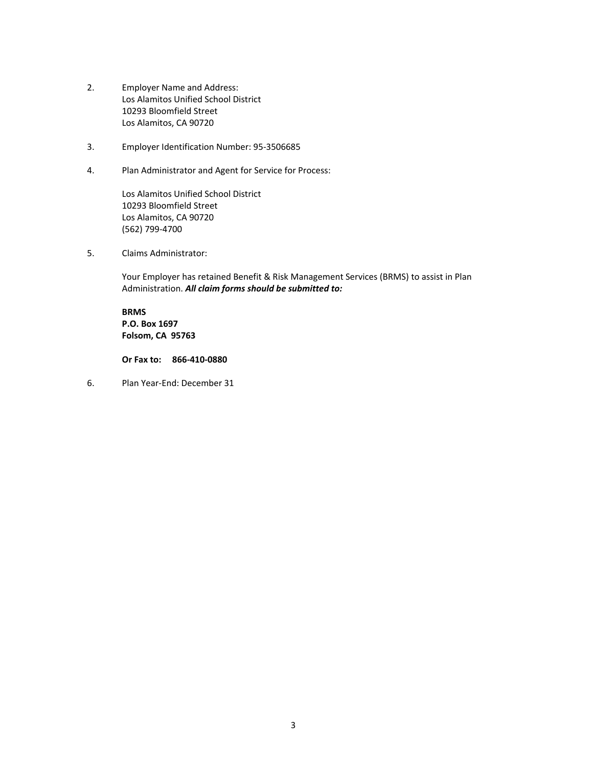- 2. Employer Name and Address: Los Alamitos Unified School District 10293 Bloomfield Street Los Alamitos, CA 90720
- 3. Employer Identification Number: 95-3506685
- 4. Plan Administrator and Agent for Service for Process:

Los Alamitos Unified School District 10293 Bloomfield Street Los Alamitos, CA 90720 (562) 799-4700

5. Claims Administrator:

Your Employer has retained Benefit & Risk Management Services (BRMS) to assist in Plan Administration. *All claim forms should be submitted to:*

**BRMS P.O. Box 1697 Folsom, CA 95763** 

**Or Fax to: 866-410-0880**

6. Plan Year-End: December 31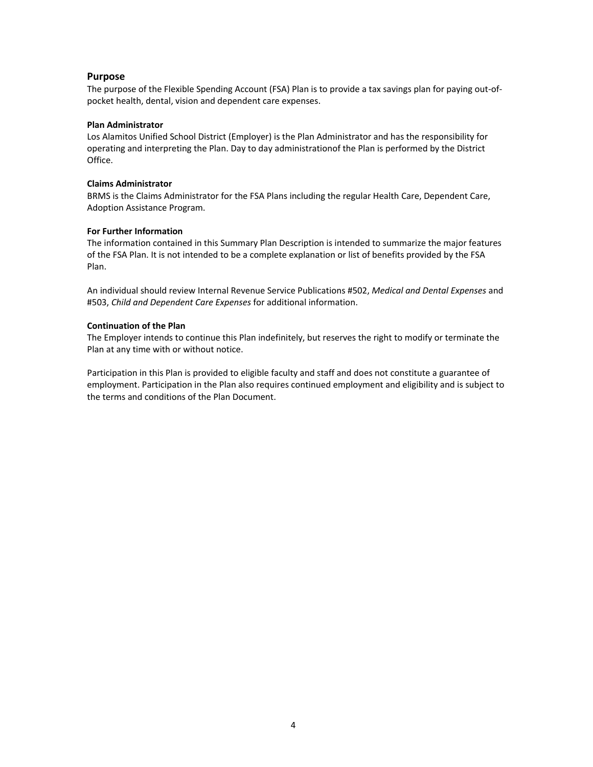# **Purpose**

The purpose of the Flexible Spending Account (FSA) Plan is to provide a tax savings plan for paying out-ofpocket health, dental, vision and dependent care expenses.

### **Plan Administrator**

Los Alamitos Unified School District (Employer) is the Plan Administrator and has the responsibility for operating and interpreting the Plan. Day to day administrationof the Plan is performed by the District Office.

### **Claims Administrator**

BRMS is the Claims Administrator for the FSA Plans including the regular Health Care, Dependent Care, Adoption Assistance Program.

### **For Further Information**

The information contained in this Summary Plan Description is intended to summarize the major features of the FSA Plan. It is not intended to be a complete explanation or list of benefits provided by the FSA Plan.

An individual should review Internal Revenue Service Publications #502, *Medical and Dental Expenses* and #503, *Child and Dependent Care Expenses* for additional information.

### **Continuation of the Plan**

The Employer intends to continue this Plan indefinitely, but reserves the right to modify or terminate the Plan at any time with or without notice.

Participation in this Plan is provided to eligible faculty and staff and does not constitute a guarantee of employment. Participation in the Plan also requires continued employment and eligibility and is subject to the terms and conditions of the Plan Document.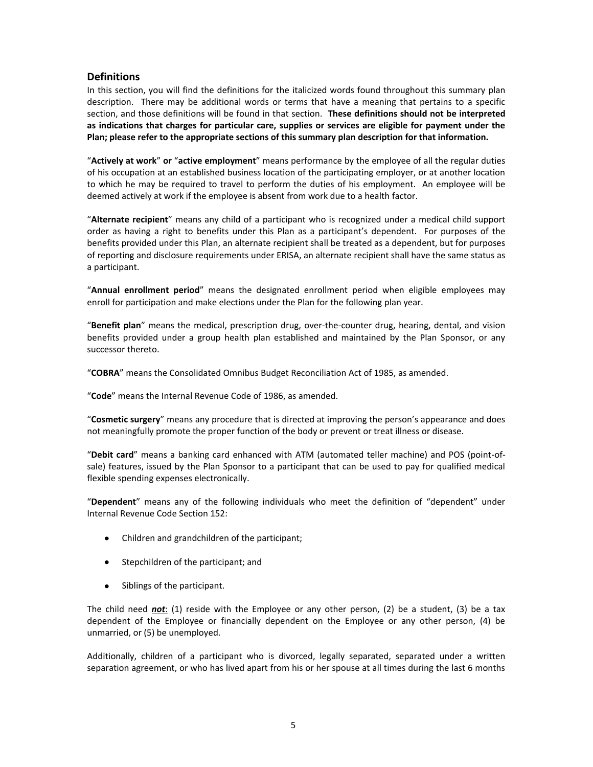# **Definitions**

In this section, you will find the definitions for the italicized words found throughout this summary plan description. There may be additional words or terms that have a meaning that pertains to a specific section, and those definitions will be found in that section. **These definitions should not be interpreted as indications that charges for particular care, supplies or services are eligible for payment under the Plan; please refer to the appropriate sections of this summary plan description for that information.**

"**Actively at work**" **or** "**active employment**" means performance by the employee of all the regular duties of his occupation at an established business location of the participating employer, or at another location to which he may be required to travel to perform the duties of his employment. An employee will be deemed actively at work if the employee is absent from work due to a health factor.

"**Alternate recipient**" means any child of a participant who is recognized under a medical child support order as having a right to benefits under this Plan as a participant's dependent. For purposes of the benefits provided under this Plan, an alternate recipient shall be treated as a dependent, but for purposes of reporting and disclosure requirements under ERISA, an alternate recipient shall have the same status as a participant.

"**Annual enrollment period**" means the designated enrollment period when eligible employees may enroll for participation and make elections under the Plan for the following plan year.

"**Benefit plan**" means the medical, prescription drug, over-the-counter drug, hearing, dental, and vision benefits provided under a group health plan established and maintained by the Plan Sponsor, or any successor thereto.

"**COBRA**" means the Consolidated Omnibus Budget Reconciliation Act of 1985, as amended.

"**Code**" means the Internal Revenue Code of 1986, as amended.

"**Cosmetic surgery**" means any procedure that is directed at improving the person's appearance and does not meaningfully promote the proper function of the body or prevent or treat illness or disease.

"**Debit card**" means a banking card enhanced with ATM (automated teller machine) and POS (point-ofsale) features, issued by the Plan Sponsor to a participant that can be used to pay for qualified medical flexible spending expenses electronically.

"**Dependent**" means any of the following individuals who meet the definition of "dependent" under Internal Revenue Code Section 152:

- Children and grandchildren of the participant;
- Stepchildren of the participant; and
- Siblings of the participant.

The child need *not*: (1) reside with the Employee or any other person, (2) be a student, (3) be a tax dependent of the Employee or financially dependent on the Employee or any other person, (4) be unmarried, or (5) be unemployed.

Additionally, children of a participant who is divorced, legally separated, separated under a written separation agreement, or who has lived apart from his or her spouse at all times during the last 6 months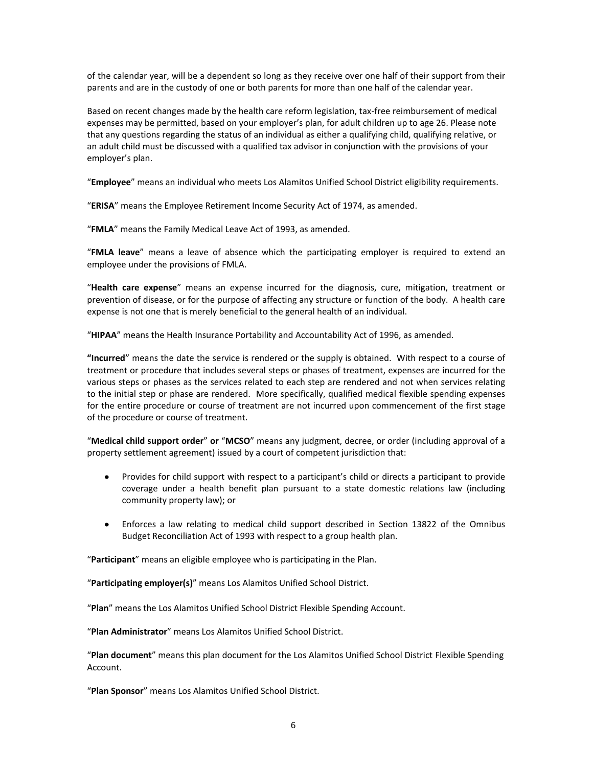of the calendar year, will be a dependent so long as they receive over one half of their support from their parents and are in the custody of one or both parents for more than one half of the calendar year.

Based on recent changes made by the health care reform legislation, tax-free reimbursement of medical expenses may be permitted, based on your employer's plan, for adult children up to age 26. Please note that any questions regarding the status of an individual as either a qualifying child, qualifying relative, or an adult child must be discussed with a qualified tax advisor in conjunction with the provisions of your employer's plan.

"**Employee**" means an individual who meets Los Alamitos Unified School District eligibility requirements.

"**ERISA**" means the Employee Retirement Income Security Act of 1974, as amended.

"**FMLA**" means the Family Medical Leave Act of 1993, as amended.

"**FMLA leave**" means a leave of absence which the participating employer is required to extend an employee under the provisions of FMLA.

"**Health care expense**" means an expense incurred for the diagnosis, cure, mitigation, treatment or prevention of disease, or for the purpose of affecting any structure or function of the body. A health care expense is not one that is merely beneficial to the general health of an individual.

"**HIPAA**" means the Health Insurance Portability and Accountability Act of 1996, as amended.

**"Incurred**" means the date the service is rendered or the supply is obtained. With respect to a course of treatment or procedure that includes several steps or phases of treatment, expenses are incurred for the various steps or phases as the services related to each step are rendered and not when services relating to the initial step or phase are rendered. More specifically, qualified medical flexible spending expenses for the entire procedure or course of treatment are not incurred upon commencement of the first stage of the procedure or course of treatment.

"**Medical child support order**" **or** "**MCSO**" means any judgment, decree, or order (including approval of a property settlement agreement) issued by a court of competent jurisdiction that:

- Provides for child support with respect to a participant's child or directs a participant to provide coverage under a health benefit plan pursuant to a state domestic relations law (including community property law); or
- Enforces a law relating to medical child support described in Section 13822 of the Omnibus Budget Reconciliation Act of 1993 with respect to a group health plan.

"**Participant**" means an eligible employee who is participating in the Plan.

"**Participating employer(s)**" means Los Alamitos Unified School District.

"**Plan**" means the Los Alamitos Unified School District Flexible Spending Account.

"**Plan Administrator**" means Los Alamitos Unified School District.

"**Plan document**" means this plan document for the Los Alamitos Unified School District Flexible Spending Account.

"**Plan Sponsor**" means Los Alamitos Unified School District.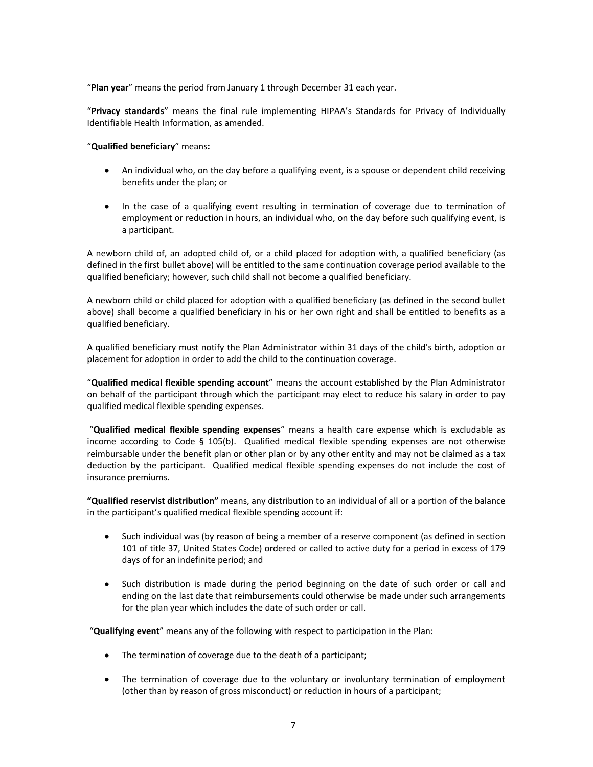"**Plan year**" means the period from January 1 through December 31 each year.

"**Privacy standards**" means the final rule implementing HIPAA's Standards for Privacy of Individually Identifiable Health Information, as amended.

"**Qualified beneficiary**" means**:**

- An individual who, on the day before a qualifying event, is a spouse or dependent child receiving benefits under the plan; or
- In the case of a qualifying event resulting in termination of coverage due to termination of employment or reduction in hours, an individual who, on the day before such qualifying event, is a participant.

A newborn child of, an adopted child of, or a child placed for adoption with, a qualified beneficiary (as defined in the first bullet above) will be entitled to the same continuation coverage period available to the qualified beneficiary; however, such child shall not become a qualified beneficiary.

A newborn child or child placed for adoption with a qualified beneficiary (as defined in the second bullet above) shall become a qualified beneficiary in his or her own right and shall be entitled to benefits as a qualified beneficiary.

A qualified beneficiary must notify the Plan Administrator within 31 days of the child's birth, adoption or placement for adoption in order to add the child to the continuation coverage.

"**Qualified medical flexible spending account**" means the account established by the Plan Administrator on behalf of the participant through which the participant may elect to reduce his salary in order to pay qualified medical flexible spending expenses.

"**Qualified medical flexible spending expenses**" means a health care expense which is excludable as income according to Code § 105(b). Qualified medical flexible spending expenses are not otherwise reimbursable under the benefit plan or other plan or by any other entity and may not be claimed as a tax deduction by the participant. Qualified medical flexible spending expenses do not include the cost of insurance premiums.

**"Qualified reservist distribution"** means, any distribution to an individual of all or a portion of the balance in the participant's qualified medical flexible spending account if:

- Such individual was (by reason of being a member of a reserve component (as defined in section 101 of title 37, United States Code) ordered or called to active duty for a period in excess of 179 days of for an indefinite period; and
- Such distribution is made during the period beginning on the date of such order or call and ending on the last date that reimbursements could otherwise be made under such arrangements for the plan year which includes the date of such order or call.

"**Qualifying event**" means any of the following with respect to participation in the Plan:

- The termination of coverage due to the death of a participant;
- The termination of coverage due to the voluntary or involuntary termination of employment (other than by reason of gross misconduct) or reduction in hours of a participant;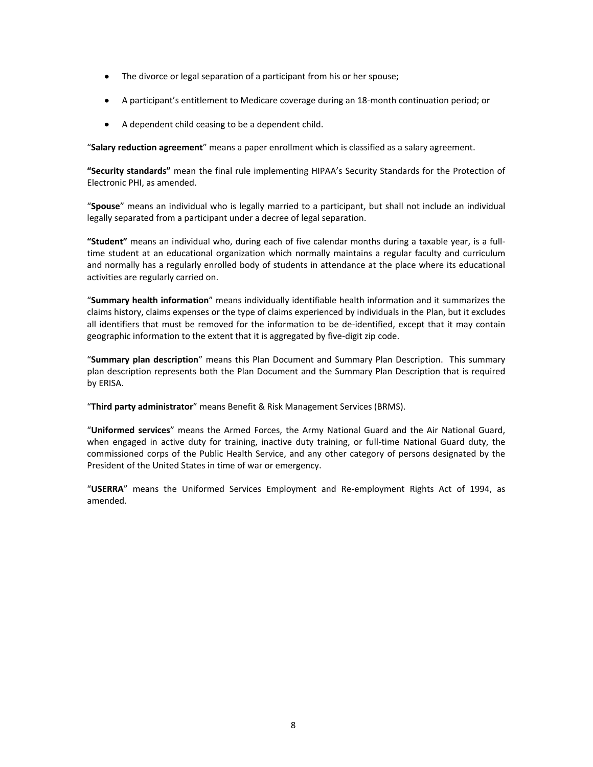- The divorce or legal separation of a participant from his or her spouse;
- A participant's entitlement to Medicare coverage during an 18-month continuation period; or
- A dependent child ceasing to be a dependent child.

"**Salary reduction agreement**" means a paper enrollment which is classified as a salary agreement.

**"Security standards"** mean the final rule implementing HIPAA's Security Standards for the Protection of Electronic PHI, as amended.

"**Spouse**" means an individual who is legally married to a participant, but shall not include an individual legally separated from a participant under a decree of legal separation.

**"Student"** means an individual who, during each of five calendar months during a taxable year, is a fulltime student at an educational organization which normally maintains a regular faculty and curriculum and normally has a regularly enrolled body of students in attendance at the place where its educational activities are regularly carried on.

"**Summary health information**" means individually identifiable health information and it summarizes the claims history, claims expenses or the type of claims experienced by individuals in the Plan, but it excludes all identifiers that must be removed for the information to be de-identified, except that it may contain geographic information to the extent that it is aggregated by five-digit zip code.

"**Summary plan description**" means this Plan Document and Summary Plan Description. This summary plan description represents both the Plan Document and the Summary Plan Description that is required by ERISA.

"**Third party administrator**" means Benefit & Risk Management Services (BRMS).

"**Uniformed services**" means the Armed Forces, the Army National Guard and the Air National Guard, when engaged in active duty for training, inactive duty training, or full-time National Guard duty, the commissioned corps of the Public Health Service, and any other category of persons designated by the President of the United States in time of war or emergency.

"**USERRA**" means the Uniformed Services Employment and Re-employment Rights Act of 1994, as amended.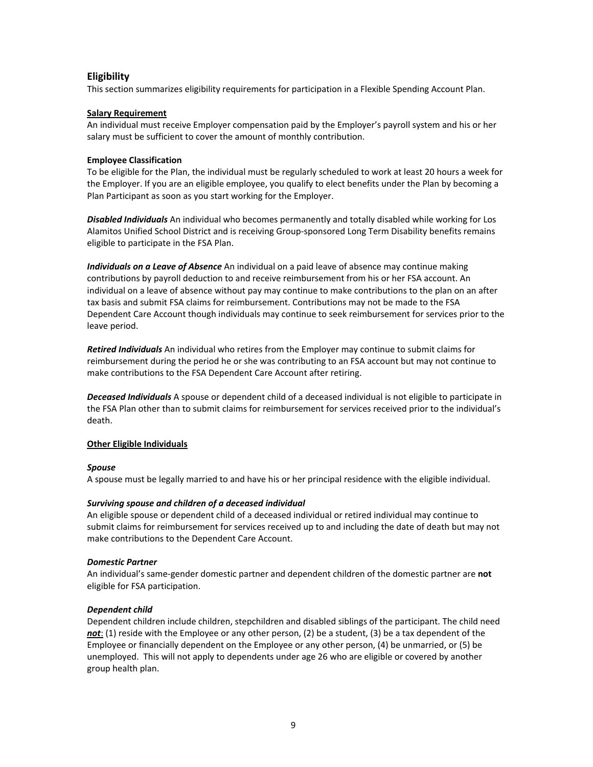# **Eligibility**

This section summarizes eligibility requirements for participation in a Flexible Spending Account Plan.

## **Salary Requirement**

An individual must receive Employer compensation paid by the Employer's payroll system and his or her salary must be sufficient to cover the amount of monthly contribution.

### **Employee Classification**

To be eligible for the Plan, the individual must be regularly scheduled to work at least 20 hours a week for the Employer. If you are an eligible employee, you qualify to elect benefits under the Plan by becoming a Plan Participant as soon as you start working for the Employer.

*Disabled Individuals* An individual who becomes permanently and totally disabled while working for Los Alamitos Unified School District and is receiving Group-sponsored Long Term Disability benefits remains eligible to participate in the FSA Plan.

*Individuals on a Leave of Absence* An individual on a paid leave of absence may continue making contributions by payroll deduction to and receive reimbursement from his or her FSA account. An individual on a leave of absence without pay may continue to make contributions to the plan on an after tax basis and submit FSA claims for reimbursement. Contributions may not be made to the FSA Dependent Care Account though individuals may continue to seek reimbursement for services prior to the leave period.

*Retired Individuals* An individual who retires from the Employer may continue to submit claims for reimbursement during the period he or she was contributing to an FSA account but may not continue to make contributions to the FSA Dependent Care Account after retiring.

*Deceased Individuals* A spouse or dependent child of a deceased individual is not eligible to participate in the FSA Plan other than to submit claims for reimbursement for services received prior to the individual's death.

### **Other Eligible Individuals**

### *Spouse*

A spouse must be legally married to and have his or her principal residence with the eligible individual.

## *Surviving spouse and children of a deceased individual*

An eligible spouse or dependent child of a deceased individual or retired individual may continue to submit claims for reimbursement for services received up to and including the date of death but may not make contributions to the Dependent Care Account.

### *Domestic Partner*

An individual's same-gender domestic partner and dependent children of the domestic partner are **not**  eligible for FSA participation.

### *Dependent child*

Dependent children include children, stepchildren and disabled siblings of the participant. The child need *not*: (1) reside with the Employee or any other person, (2) be a student, (3) be a tax dependent of the Employee or financially dependent on the Employee or any other person, (4) be unmarried, or (5) be unemployed. This will not apply to dependents under age 26 who are eligible or covered by another group health plan.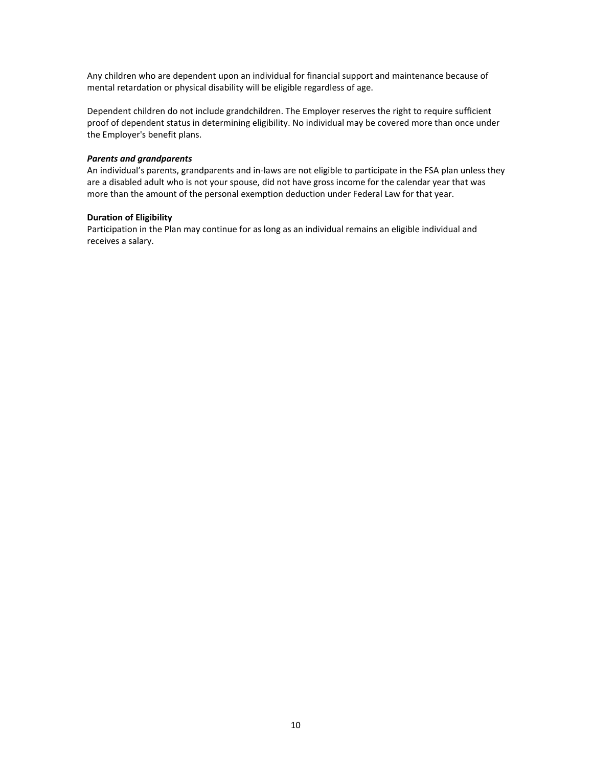Any children who are dependent upon an individual for financial support and maintenance because of mental retardation or physical disability will be eligible regardless of age.

Dependent children do not include grandchildren. The Employer reserves the right to require sufficient proof of dependent status in determining eligibility. No individual may be covered more than once under the Employer's benefit plans.

### *Parents and grandparents*

An individual's parents, grandparents and in-laws are not eligible to participate in the FSA plan unless they are a disabled adult who is not your spouse, did not have gross income for the calendar year that was more than the amount of the personal exemption deduction under Federal Law for that year.

### **Duration of Eligibility**

Participation in the Plan may continue for as long as an individual remains an eligible individual and receives a salary.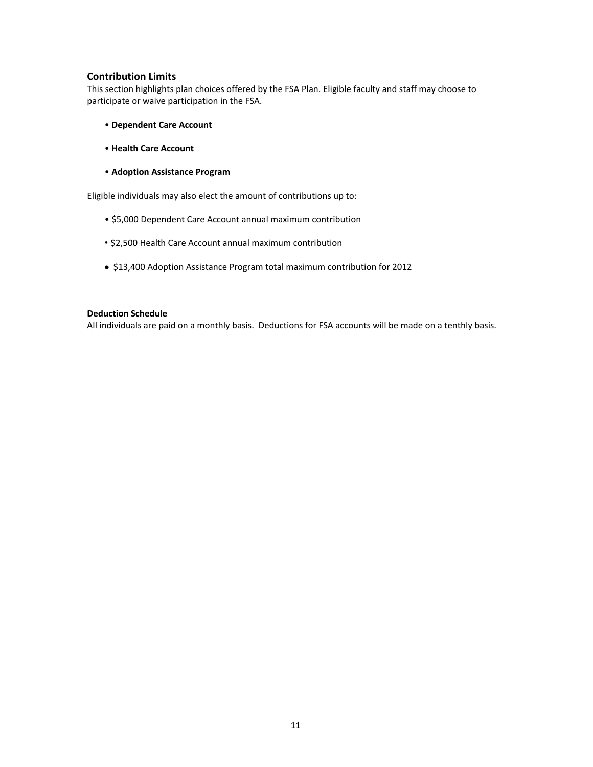# **Contribution Limits**

This section highlights plan choices offered by the FSA Plan. Eligible faculty and staff may choose to participate or waive participation in the FSA.

- **Dependent Care Account**
- **Health Care Account**
- **Adoption Assistance Program**

Eligible individuals may also elect the amount of contributions up to:

- \$5,000 Dependent Care Account annual maximum contribution
- \$2,500 Health Care Account annual maximum contribution
- \$13,400 Adoption Assistance Program total maximum contribution for 2012

### **Deduction Schedule**

All individuals are paid on a monthly basis. Deductions for FSA accounts will be made on a tenthly basis.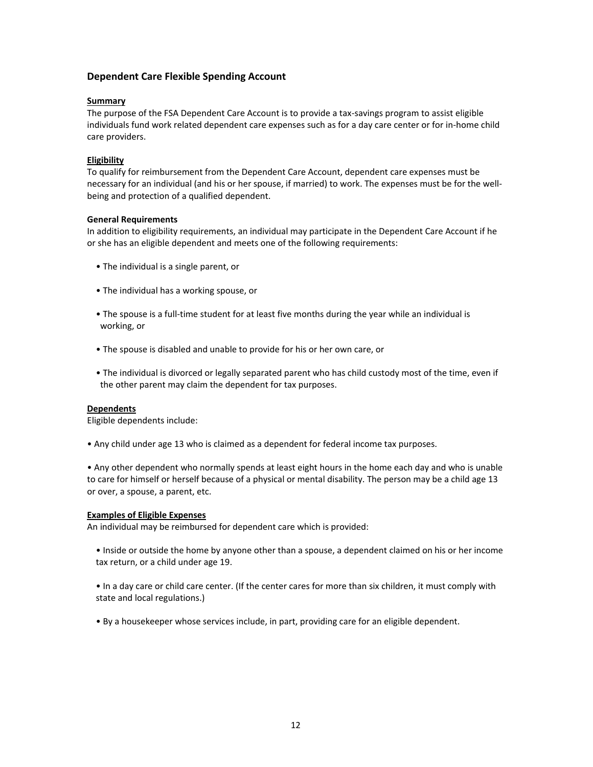# **Dependent Care Flexible Spending Account**

### **Summary**

The purpose of the FSA Dependent Care Account is to provide a tax-savings program to assist eligible individuals fund work related dependent care expenses such as for a day care center or for in-home child care providers.

## **Eligibility**

To qualify for reimbursement from the Dependent Care Account, dependent care expenses must be necessary for an individual (and his or her spouse, if married) to work. The expenses must be for the wellbeing and protection of a qualified dependent.

### **General Requirements**

In addition to eligibility requirements, an individual may participate in the Dependent Care Account if he or she has an eligible dependent and meets one of the following requirements:

- The individual is a single parent, or
- The individual has a working spouse, or
- The spouse is a full-time student for at least five months during the year while an individual is working, or
- The spouse is disabled and unable to provide for his or her own care, or
- The individual is divorced or legally separated parent who has child custody most of the time, even if the other parent may claim the dependent for tax purposes.

### **Dependents**

Eligible dependents include:

• Any child under age 13 who is claimed as a dependent for federal income tax purposes.

• Any other dependent who normally spends at least eight hours in the home each day and who is unable to care for himself or herself because of a physical or mental disability. The person may be a child age 13 or over, a spouse, a parent, etc.

### **Examples of Eligible Expenses**

An individual may be reimbursed for dependent care which is provided:

- Inside or outside the home by anyone other than a spouse, a dependent claimed on his or her income tax return, or a child under age 19.
- In a day care or child care center. (If the center cares for more than six children, it must comply with state and local regulations.)
- By a housekeeper whose services include, in part, providing care for an eligible dependent.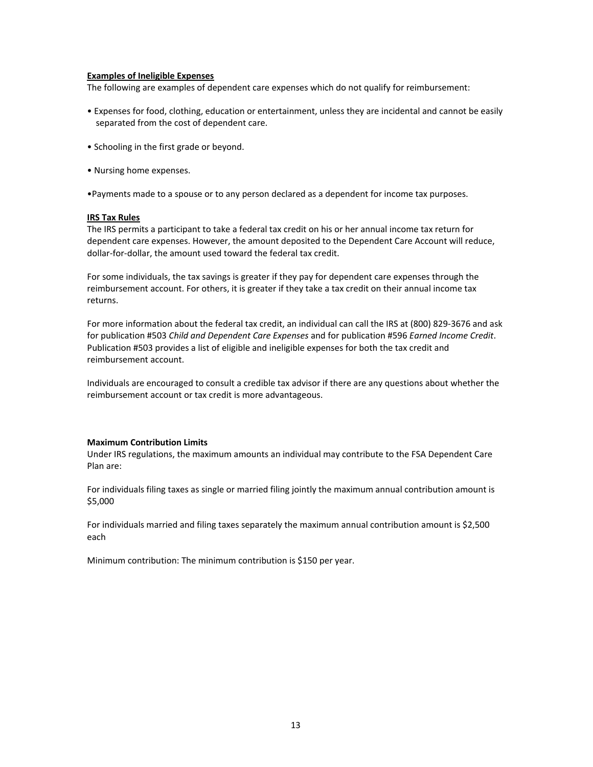### **Examples of Ineligible Expenses**

The following are examples of dependent care expenses which do not qualify for reimbursement:

- Expenses for food, clothing, education or entertainment, unless they are incidental and cannot be easily separated from the cost of dependent care.
- Schooling in the first grade or beyond.
- Nursing home expenses.

•Payments made to a spouse or to any person declared as a dependent for income tax purposes.

### **IRS Tax Rules**

The IRS permits a participant to take a federal tax credit on his or her annual income tax return for dependent care expenses. However, the amount deposited to the Dependent Care Account will reduce, dollar-for-dollar, the amount used toward the federal tax credit.

For some individuals, the tax savings is greater if they pay for dependent care expenses through the reimbursement account. For others, it is greater if they take a tax credit on their annual income tax returns.

For more information about the federal tax credit, an individual can call the IRS at (800) 829-3676 and ask for publication #503 *Child and Dependent Care Expenses* and for publication #596 *Earned Income Credit*. Publication #503 provides a list of eligible and ineligible expenses for both the tax credit and reimbursement account.

Individuals are encouraged to consult a credible tax advisor if there are any questions about whether the reimbursement account or tax credit is more advantageous.

### **Maximum Contribution Limits**

Under IRS regulations, the maximum amounts an individual may contribute to the FSA Dependent Care Plan are:

For individuals filing taxes as single or married filing jointly the maximum annual contribution amount is \$5,000

For individuals married and filing taxes separately the maximum annual contribution amount is \$2,500 each

Minimum contribution: The minimum contribution is \$150 per year.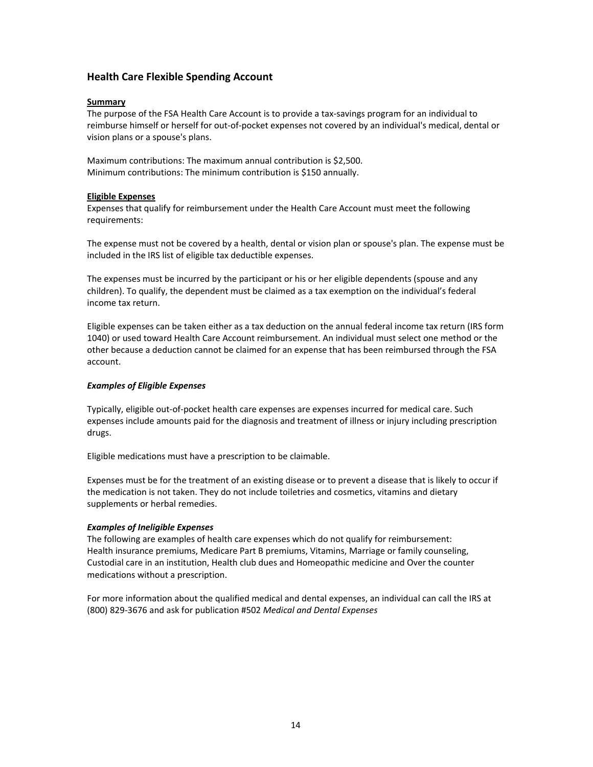# **Health Care Flexible Spending Account**

### **Summary**

The purpose of the FSA Health Care Account is to provide a tax-savings program for an individual to reimburse himself or herself for out-of-pocket expenses not covered by an individual's medical, dental or vision plans or a spouse's plans.

Maximum contributions: The maximum annual contribution is \$2,500. Minimum contributions: The minimum contribution is \$150 annually.

### **Eligible Expenses**

Expenses that qualify for reimbursement under the Health Care Account must meet the following requirements:

The expense must not be covered by a health, dental or vision plan or spouse's plan. The expense must be included in the IRS list of eligible tax deductible expenses.

The expenses must be incurred by the participant or his or her eligible dependents (spouse and any children). To qualify, the dependent must be claimed as a tax exemption on the individual's federal income tax return.

Eligible expenses can be taken either as a tax deduction on the annual federal income tax return (IRS form 1040) or used toward Health Care Account reimbursement. An individual must select one method or the other because a deduction cannot be claimed for an expense that has been reimbursed through the FSA account.

### *Examples of Eligible Expenses*

Typically, eligible out-of-pocket health care expenses are expenses incurred for medical care. Such expenses include amounts paid for the diagnosis and treatment of illness or injury including prescription drugs.

Eligible medications must have a prescription to be claimable.

Expenses must be for the treatment of an existing disease or to prevent a disease that is likely to occur if the medication is not taken. They do not include toiletries and cosmetics, vitamins and dietary supplements or herbal remedies.

## *Examples of Ineligible Expenses*

The following are examples of health care expenses which do not qualify for reimbursement: Health insurance premiums, Medicare Part B premiums, Vitamins, Marriage or family counseling, Custodial care in an institution, Health club dues and Homeopathic medicine and Over the counter medications without a prescription.

For more information about the qualified medical and dental expenses, an individual can call the IRS at (800) 829-3676 and ask for publication #502 *Medical and Dental Expenses*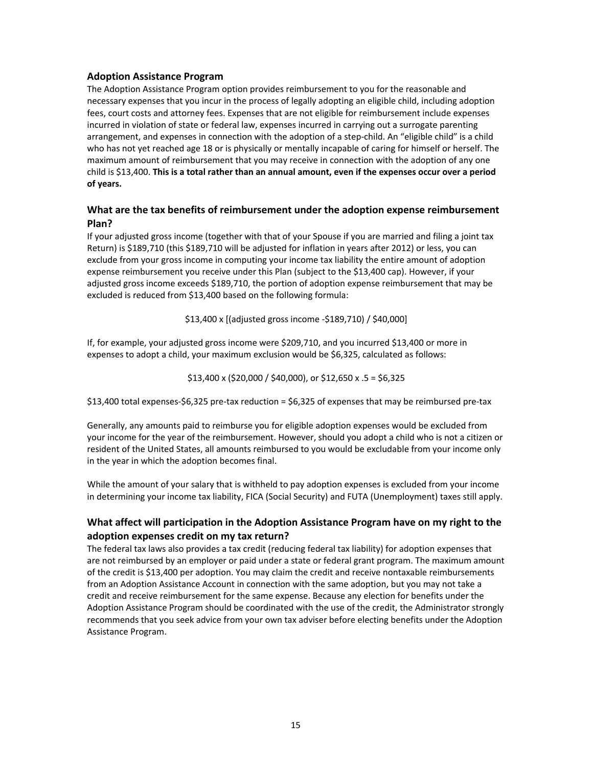# **Adoption Assistance Program**

The Adoption Assistance Program option provides reimbursement to you for the reasonable and necessary expenses that you incur in the process of legally adopting an eligible child, including adoption fees, court costs and attorney fees. Expenses that are not eligible for reimbursement include expenses incurred in violation of state or federal law, expenses incurred in carrying out a surrogate parenting arrangement, and expenses in connection with the adoption of a step-child. An "eligible child" is a child who has not yet reached age 18 or is physically or mentally incapable of caring for himself or herself. The maximum amount of reimbursement that you may receive in connection with the adoption of any one child is \$13,400. **This is a total rather than an annual amount, even if the expenses occur over a period of years.**

# **What are the tax benefits of reimbursement under the adoption expense reimbursement Plan?**

If your adjusted gross income (together with that of your Spouse if you are married and filing a joint tax Return) is \$189,710 (this \$189,710 will be adjusted for inflation in years after 2012) or less, you can exclude from your gross income in computing your income tax liability the entire amount of adoption expense reimbursement you receive under this Plan (subject to the \$13,400 cap). However, if your adjusted gross income exceeds \$189,710, the portion of adoption expense reimbursement that may be excluded is reduced from \$13,400 based on the following formula:

\$13,400 x [(adjusted gross income -\$189,710) / \$40,000]

If, for example, your adjusted gross income were \$209,710, and you incurred \$13,400 or more in expenses to adopt a child, your maximum exclusion would be \$6,325, calculated as follows:

 $$13,400 \times ($20,000 / $40,000)$ , or  $$12,650 \times .5 = $6,325$ 

\$13,400 total expenses-\$6,325 pre-tax reduction = \$6,325 of expenses that may be reimbursed pre-tax

Generally, any amounts paid to reimburse you for eligible adoption expenses would be excluded from your income for the year of the reimbursement. However, should you adopt a child who is not a citizen or resident of the United States, all amounts reimbursed to you would be excludable from your income only in the year in which the adoption becomes final.

While the amount of your salary that is withheld to pay adoption expenses is excluded from your income in determining your income tax liability, FICA (Social Security) and FUTA (Unemployment) taxes still apply.

# **What affect will participation in the Adoption Assistance Program have on my right to the adoption expenses credit on my tax return?**

The federal tax laws also provides a tax credit (reducing federal tax liability) for adoption expenses that are not reimbursed by an employer or paid under a state or federal grant program. The maximum amount of the credit is \$13,400 per adoption. You may claim the credit and receive nontaxable reimbursements from an Adoption Assistance Account in connection with the same adoption, but you may not take a credit and receive reimbursement for the same expense. Because any election for benefits under the Adoption Assistance Program should be coordinated with the use of the credit, the Administrator strongly recommends that you seek advice from your own tax adviser before electing benefits under the Adoption Assistance Program.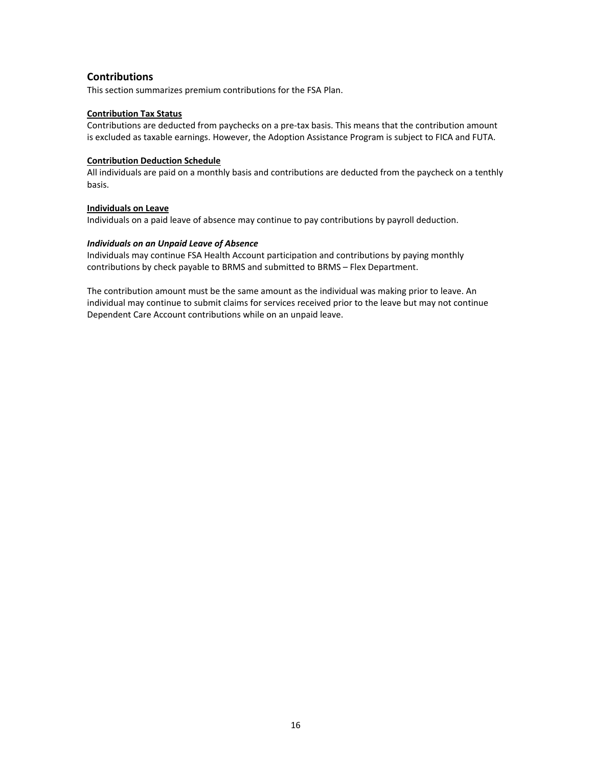# **Contributions**

This section summarizes premium contributions for the FSA Plan.

## **Contribution Tax Status**

Contributions are deducted from paychecks on a pre-tax basis. This means that the contribution amount is excluded as taxable earnings. However, the Adoption Assistance Program is subject to FICA and FUTA.

### **Contribution Deduction Schedule**

All individuals are paid on a monthly basis and contributions are deducted from the paycheck on a tenthly basis.

### **Individuals on Leave**

Individuals on a paid leave of absence may continue to pay contributions by payroll deduction.

### *Individuals on an Unpaid Leave of Absence*

Individuals may continue FSA Health Account participation and contributions by paying monthly contributions by check payable to BRMS and submitted to BRMS – Flex Department.

The contribution amount must be the same amount as the individual was making prior to leave. An individual may continue to submit claims for services received prior to the leave but may not continue Dependent Care Account contributions while on an unpaid leave.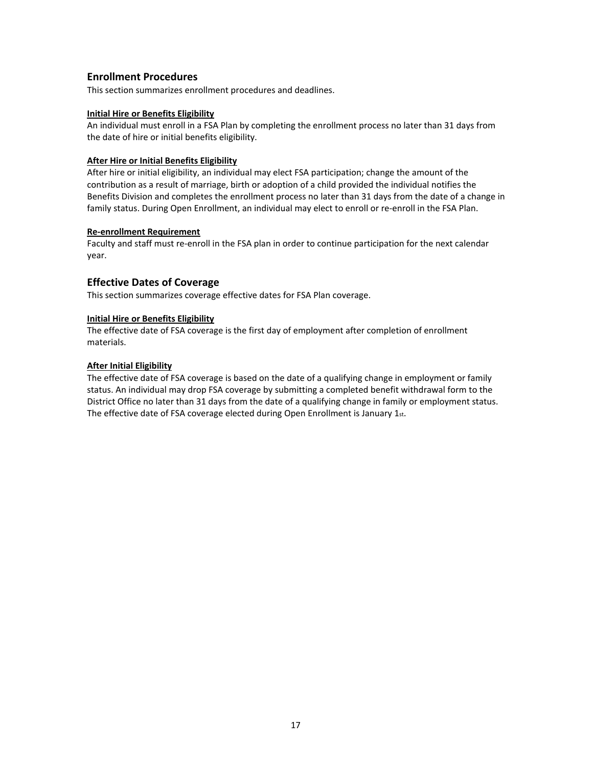# **Enrollment Procedures**

This section summarizes enrollment procedures and deadlines.

### **Initial Hire or Benefits Eligibility**

An individual must enroll in a FSA Plan by completing the enrollment process no later than 31 days from the date of hire or initial benefits eligibility.

# **After Hire or Initial Benefits Eligibility**

After hire or initial eligibility, an individual may elect FSA participation; change the amount of the contribution as a result of marriage, birth or adoption of a child provided the individual notifies the Benefits Division and completes the enrollment process no later than 31 days from the date of a change in family status. During Open Enrollment, an individual may elect to enroll or re-enroll in the FSA Plan.

### **Re-enrollment Requirement**

Faculty and staff must re-enroll in the FSA plan in order to continue participation for the next calendar year.

# **Effective Dates of Coverage**

This section summarizes coverage effective dates for FSA Plan coverage.

### **Initial Hire or Benefits Eligibility**

The effective date of FSA coverage is the first day of employment after completion of enrollment materials.

### **After Initial Eligibility**

The effective date of FSA coverage is based on the date of a qualifying change in employment or family status. An individual may drop FSA coverage by submitting a completed benefit withdrawal form to the District Office no later than 31 days from the date of a qualifying change in family or employment status. The effective date of FSA coverage elected during Open Enrollment is January 1st.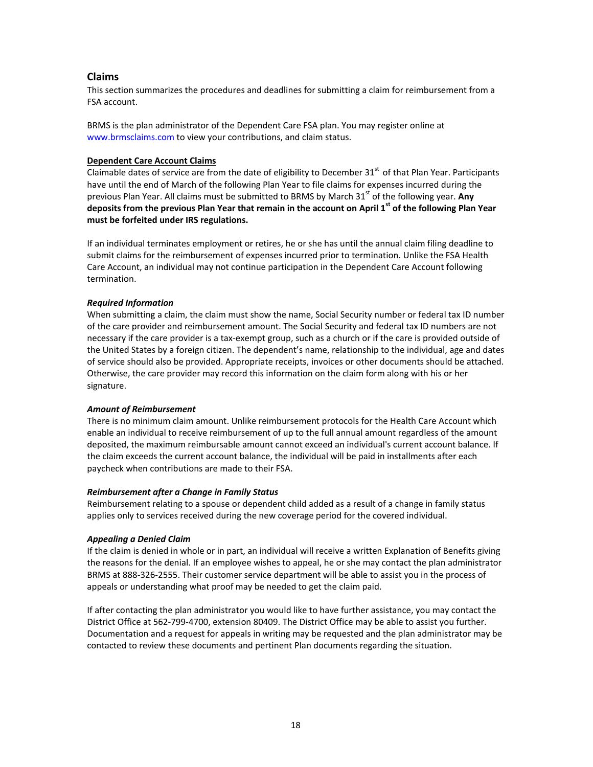# **Claims**

This section summarizes the procedures and deadlines for submitting a claim for reimbursement from a FSA account.

BRMS is the plan administrator of the Dependent Care FSA plan. You may register online at www.brmsclaims.com to view your contributions, and claim status.

### **Dependent Care Account Claims**

Claimable dates of service are from the date of eligibility to December 31<sup>st</sup> of that Plan Year. Participants have until the end of March of the following Plan Year to file claims for expenses incurred during the previous Plan Year. All claims must be submitted to BRMS by March 31<sup>st</sup> of the following year. **Any deposits from the previous Plan Year that remain in the account on April 1 st of the following Plan Year must be forfeited under IRS regulations.**

If an individual terminates employment or retires, he or she has until the annual claim filing deadline to submit claims for the reimbursement of expenses incurred prior to termination. Unlike the FSA Health Care Account, an individual may not continue participation in the Dependent Care Account following termination.

### *Required Information*

When submitting a claim, the claim must show the name, Social Security number or federal tax ID number of the care provider and reimbursement amount. The Social Security and federal tax ID numbers are not necessary if the care provider is a tax-exempt group, such as a church or if the care is provided outside of the United States by a foreign citizen. The dependent's name, relationship to the individual, age and dates of service should also be provided. Appropriate receipts, invoices or other documents should be attached. Otherwise, the care provider may record this information on the claim form along with his or her signature.

### *Amount of Reimbursement*

There is no minimum claim amount. Unlike reimbursement protocols for the Health Care Account which enable an individual to receive reimbursement of up to the full annual amount regardless of the amount deposited, the maximum reimbursable amount cannot exceed an individual's current account balance. If the claim exceeds the current account balance, the individual will be paid in installments after each paycheck when contributions are made to their FSA.

### *Reimbursement after a Change in Family Status*

Reimbursement relating to a spouse or dependent child added as a result of a change in family status applies only to services received during the new coverage period for the covered individual.

## *Appealing a Denied Claim*

If the claim is denied in whole or in part, an individual will receive a written Explanation of Benefits giving the reasons for the denial. If an employee wishes to appeal, he or she may contact the plan administrator BRMS at 888-326-2555. Their customer service department will be able to assist you in the process of appeals or understanding what proof may be needed to get the claim paid.

If after contacting the plan administrator you would like to have further assistance, you may contact the District Office at 562-799-4700, extension 80409. The District Office may be able to assist you further. Documentation and a request for appeals in writing may be requested and the plan administrator may be contacted to review these documents and pertinent Plan documents regarding the situation.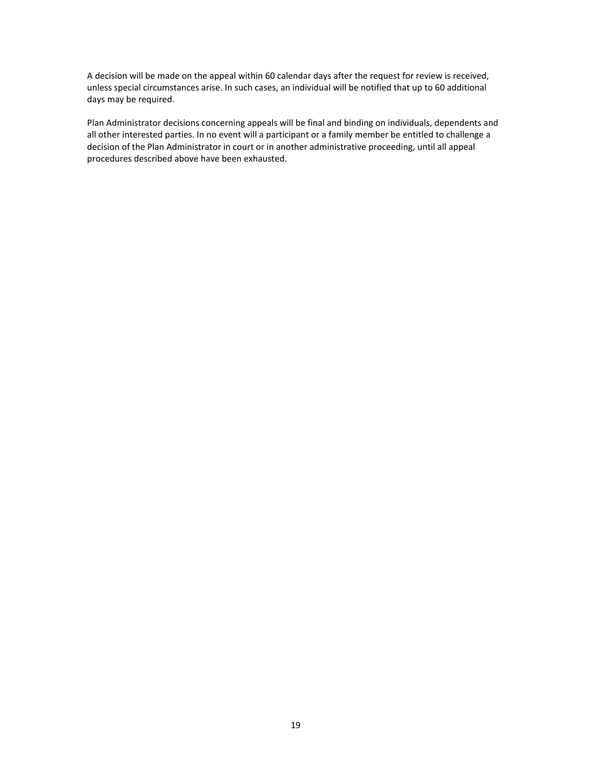A decision will be made on the appeal within 60 calendar days after the request for review is received, unless special circumstances arise. In such cases, an individual will be notified that up to 60 additional days may be required.

Plan Administrator decisions concerning appeals will be final and binding on individuals, dependents and all other interested parties. In no event will a participant or a family member be entitled to challenge a decision of the Plan Administrator in court or in another administrative proceeding, until all appeal procedures described above have been exhausted.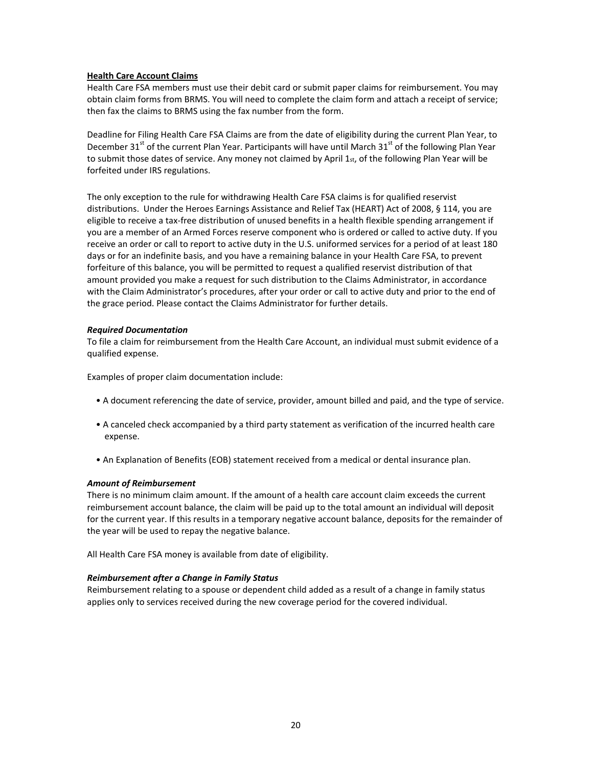### **Health Care Account Claims**

Health Care FSA members must use their debit card or submit paper claims for reimbursement. You may obtain claim forms from BRMS. You will need to complete the claim form and attach a receipt of service; then fax the claims to BRMS using the fax number from the form.

Deadline for Filing Health Care FSA Claims are from the date of eligibility during the current Plan Year, to December 31<sup>st</sup> of the current Plan Year. Participants will have until March 31<sup>st</sup> of the following Plan Year to submit those dates of service. Any money not claimed by April 1st, of the following Plan Year will be forfeited under IRS regulations.

The only exception to the rule for withdrawing Health Care FSA claims is for qualified reservist distributions. Under the Heroes Earnings Assistance and Relief Tax (HEART) Act of 2008, § 114, you are eligible to receive a tax-free distribution of unused benefits in a health flexible spending arrangement if you are a member of an Armed Forces reserve component who is ordered or called to active duty. If you receive an order or call to report to active duty in the U.S. uniformed services for a period of at least 180 days or for an indefinite basis, and you have a remaining balance in your Health Care FSA, to prevent forfeiture of this balance, you will be permitted to request a qualified reservist distribution of that amount provided you make a request for such distribution to the Claims Administrator, in accordance with the Claim Administrator's procedures, after your order or call to active duty and prior to the end of the grace period. Please contact the Claims Administrator for further details.

### *Required Documentation*

To file a claim for reimbursement from the Health Care Account, an individual must submit evidence of a qualified expense.

Examples of proper claim documentation include:

- A document referencing the date of service, provider, amount billed and paid, and the type of service.
- A canceled check accompanied by a third party statement as verification of the incurred health care expense.
- An Explanation of Benefits (EOB) statement received from a medical or dental insurance plan.

### *Amount of Reimbursement*

There is no minimum claim amount. If the amount of a health care account claim exceeds the current reimbursement account balance, the claim will be paid up to the total amount an individual will deposit for the current year. If this results in a temporary negative account balance, deposits for the remainder of the year will be used to repay the negative balance.

All Health Care FSA money is available from date of eligibility.

### *Reimbursement after a Change in Family Status*

Reimbursement relating to a spouse or dependent child added as a result of a change in family status applies only to services received during the new coverage period for the covered individual.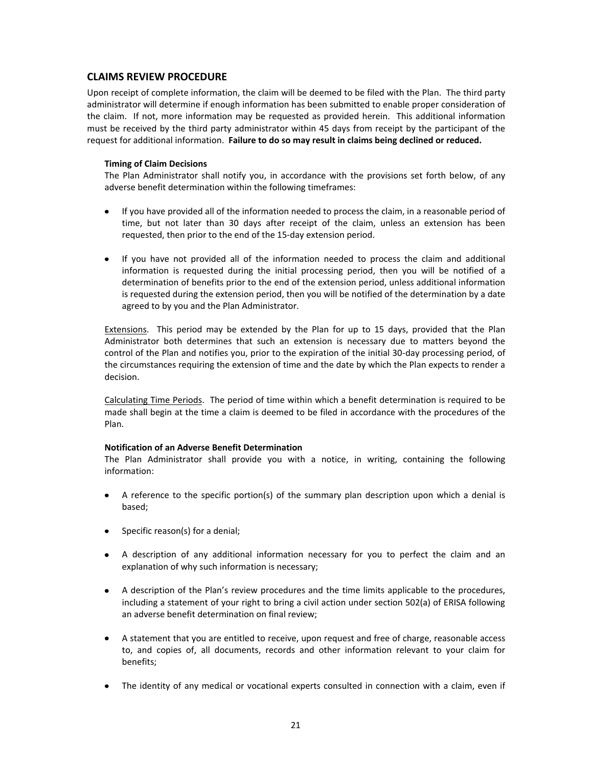# **CLAIMS REVIEW PROCEDURE**

Upon receipt of complete information, the claim will be deemed to be filed with the Plan. The third party administrator will determine if enough information has been submitted to enable proper consideration of the claim. If not, more information may be requested as provided herein. This additional information must be received by the third party administrator within 45 days from receipt by the participant of the request for additional information. **Failure to do so may result in claims being declined or reduced.**

### **Timing of Claim Decisions**

The Plan Administrator shall notify you, in accordance with the provisions set forth below, of any adverse benefit determination within the following timeframes:

- If you have provided all of the information needed to process the claim, in a reasonable period of time, but not later than 30 days after receipt of the claim, unless an extension has been requested, then prior to the end of the 15-day extension period.
- If you have not provided all of the information needed to process the claim and additional information is requested during the initial processing period, then you will be notified of a determination of benefits prior to the end of the extension period, unless additional information is requested during the extension period, then you will be notified of the determination by a date agreed to by you and the Plan Administrator.

Extensions. This period may be extended by the Plan for up to 15 days, provided that the Plan Administrator both determines that such an extension is necessary due to matters beyond the control of the Plan and notifies you, prior to the expiration of the initial 30-day processing period, of the circumstances requiring the extension of time and the date by which the Plan expects to render a decision.

Calculating Time Periods. The period of time within which a benefit determination is required to be made shall begin at the time a claim is deemed to be filed in accordance with the procedures of the Plan.

### **Notification of an Adverse Benefit Determination**

The Plan Administrator shall provide you with a notice, in writing, containing the following information:

- A reference to the specific portion(s) of the summary plan description upon which a denial is based;
- Specific reason(s) for a denial;
- A description of any additional information necessary for you to perfect the claim and an explanation of why such information is necessary;
- A description of the Plan's review procedures and the time limits applicable to the procedures, including a statement of your right to bring a civil action under section 502(a) of ERISA following an adverse benefit determination on final review;
- A statement that you are entitled to receive, upon request and free of charge, reasonable access to, and copies of, all documents, records and other information relevant to your claim for benefits;
- The identity of any medical or vocational experts consulted in connection with a claim, even if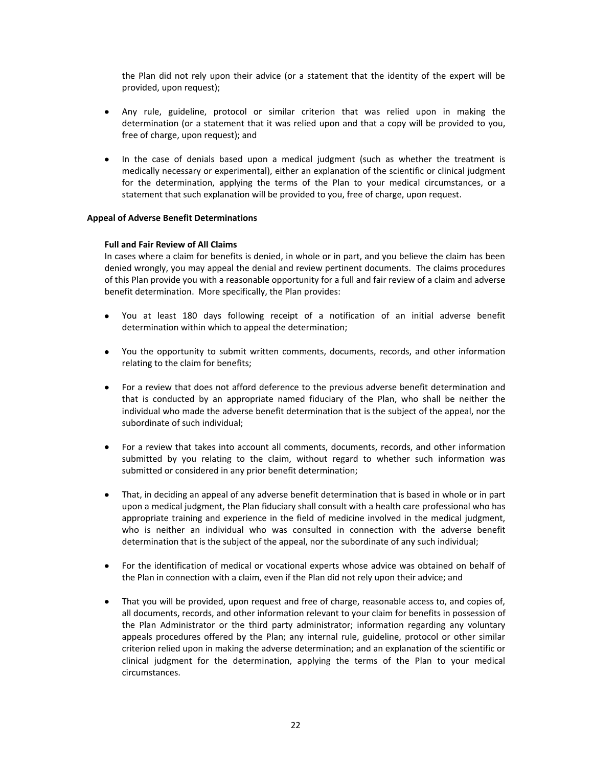the Plan did not rely upon their advice (or a statement that the identity of the expert will be provided, upon request);

- Any rule, guideline, protocol or similar criterion that was relied upon in making the determination (or a statement that it was relied upon and that a copy will be provided to you, free of charge, upon request); and
- In the case of denials based upon a medical judgment (such as whether the treatment is  $\bullet$ medically necessary or experimental), either an explanation of the scientific or clinical judgment for the determination, applying the terms of the Plan to your medical circumstances, or a statement that such explanation will be provided to you, free of charge, upon request.

### **Appeal of Adverse Benefit Determinations**

### **Full and Fair Review of All Claims**

In cases where a claim for benefits is denied, in whole or in part, and you believe the claim has been denied wrongly, you may appeal the denial and review pertinent documents. The claims procedures of this Plan provide you with a reasonable opportunity for a full and fair review of a claim and adverse benefit determination. More specifically, the Plan provides:

- You at least 180 days following receipt of a notification of an initial adverse benefit  $\bullet$ determination within which to appeal the determination;
- You the opportunity to submit written comments, documents, records, and other information relating to the claim for benefits;
- For a review that does not afford deference to the previous adverse benefit determination and that is conducted by an appropriate named fiduciary of the Plan, who shall be neither the individual who made the adverse benefit determination that is the subject of the appeal, nor the subordinate of such individual;
- For a review that takes into account all comments, documents, records, and other information  $\bullet$ submitted by you relating to the claim, without regard to whether such information was submitted or considered in any prior benefit determination;
- That, in deciding an appeal of any adverse benefit determination that is based in whole or in part upon a medical judgment, the Plan fiduciary shall consult with a health care professional who has appropriate training and experience in the field of medicine involved in the medical judgment, who is neither an individual who was consulted in connection with the adverse benefit determination that is the subject of the appeal, nor the subordinate of any such individual;
- For the identification of medical or vocational experts whose advice was obtained on behalf of the Plan in connection with a claim, even if the Plan did not rely upon their advice; and
- That you will be provided, upon request and free of charge, reasonable access to, and copies of, all documents, records, and other information relevant to your claim for benefits in possession of the Plan Administrator or the third party administrator; information regarding any voluntary appeals procedures offered by the Plan; any internal rule, guideline, protocol or other similar criterion relied upon in making the adverse determination; and an explanation of the scientific or clinical judgment for the determination, applying the terms of the Plan to your medical circumstances.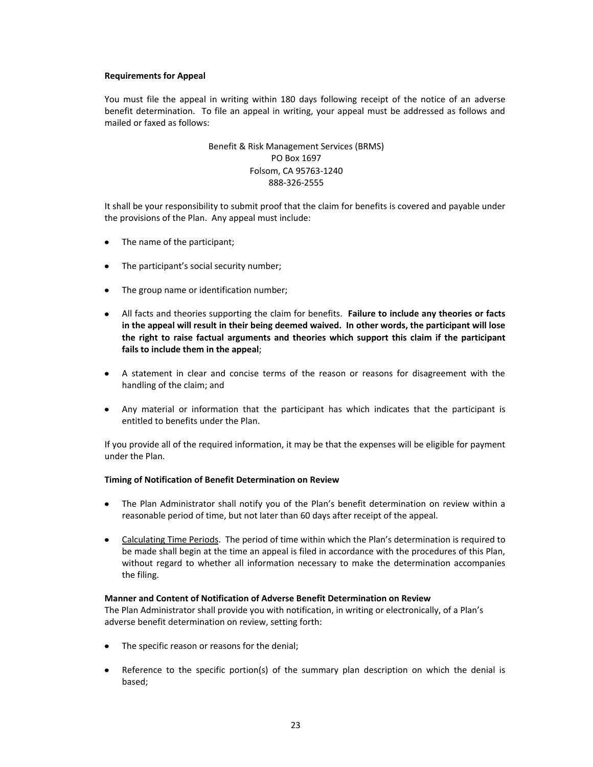### **Requirements for Appeal**

You must file the appeal in writing within 180 days following receipt of the notice of an adverse benefit determination. To file an appeal in writing, your appeal must be addressed as follows and mailed or faxed as follows:

# Benefit & Risk Management Services (BRMS) PO Box 1697 Folsom, CA 95763-1240 888-326-2555

It shall be your responsibility to submit proof that the claim for benefits is covered and payable under the provisions of the Plan. Any appeal must include:

- The name of the participant;
- The participant's social security number;  $\bullet$
- The group name or identification number;
- All facts and theories supporting the claim for benefits. **Failure to include any theories or facts in the appeal will result in their being deemed waived. In other words, the participant will lose the right to raise factual arguments and theories which support this claim if the participant fails to include them in the appeal**;
- A statement in clear and concise terms of the reason or reasons for disagreement with the handling of the claim; and
- Any material or information that the participant has which indicates that the participant is entitled to benefits under the Plan.

If you provide all of the required information, it may be that the expenses will be eligible for payment under the Plan.

## **Timing of Notification of Benefit Determination on Review**

- The Plan Administrator shall notify you of the Plan's benefit determination on review within a reasonable period of time, but not later than 60 days after receipt of the appeal.
- Calculating Time Periods. The period of time within which the Plan's determination is required to be made shall begin at the time an appeal is filed in accordance with the procedures of this Plan, without regard to whether all information necessary to make the determination accompanies the filing.

## **Manner and Content of Notification of Adverse Benefit Determination on Review**

The Plan Administrator shall provide you with notification, in writing or electronically, of a Plan's adverse benefit determination on review, setting forth:

- The specific reason or reasons for the denial;
- Reference to the specific portion(s) of the summary plan description on which the denial is  $\bullet$ based;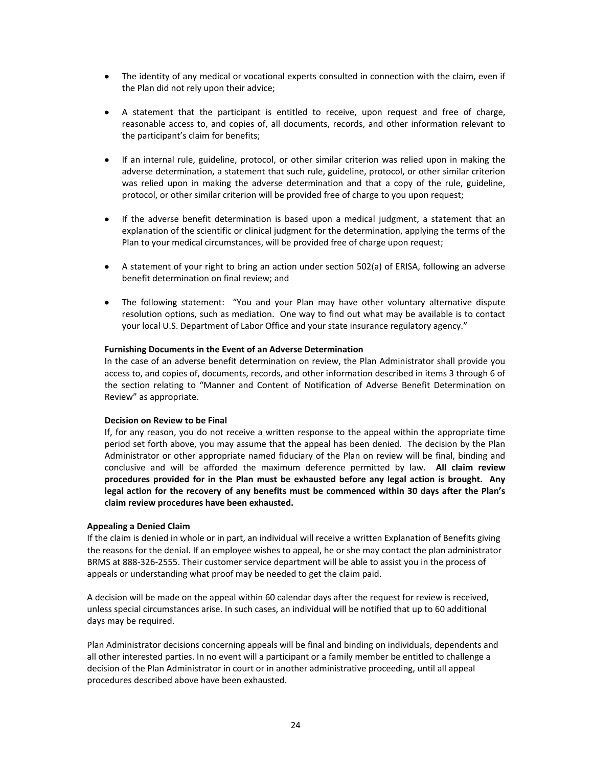- The identity of any medical or vocational experts consulted in connection with the claim, even if the Plan did not rely upon their advice;
- A statement that the participant is entitled to receive, upon request and free of charge, reasonable access to, and copies of, all documents, records, and other information relevant to the participant's claim for benefits;
- If an internal rule, guideline, protocol, or other similar criterion was relied upon in making the adverse determination, a statement that such rule, guideline, protocol, or other similar criterion was relied upon in making the adverse determination and that a copy of the rule, guideline, protocol, or other similar criterion will be provided free of charge to you upon request;
- If the adverse benefit determination is based upon a medical judgment, a statement that an explanation of the scientific or clinical judgment for the determination, applying the terms of the Plan to your medical circumstances, will be provided free of charge upon request;
- A statement of your right to bring an action under section 502(a) of ERISA, following an adverse benefit determination on final review; and
- The following statement: "You and your Plan may have other voluntary alternative dispute resolution options, such as mediation. One way to find out what may be available is to contact your local U.S. Department of Labor Office and your state insurance regulatory agency."

### **Furnishing Documents in the Event of an Adverse Determination**

In the case of an adverse benefit determination on review, the Plan Administrator shall provide you access to, and copies of, documents, records, and other information described in items 3 through 6 of the section relating to "Manner and Content of Notification of Adverse Benefit Determination on Review" as appropriate.

#### **Decision on Review to be Final**

If, for any reason, you do not receive a written response to the appeal within the appropriate time period set forth above, you may assume that the appeal has been denied. The decision by the Plan Administrator or other appropriate named fiduciary of the Plan on review will be final, binding and conclusive and will be afforded the maximum deference permitted by law. **All claim review procedures provided for in the Plan must be exhausted before any legal action is brought. Any legal action for the recovery of any benefits must be commenced within 30 days after the Plan's claim review procedures have been exhausted.**

### **Appealing a Denied Claim**

If the claim is denied in whole or in part, an individual will receive a written Explanation of Benefits giving the reasons for the denial. If an employee wishes to appeal, he or she may contact the plan administrator BRMS at 888-326-2555. Their customer service department will be able to assist you in the process of appeals or understanding what proof may be needed to get the claim paid.

A decision will be made on the appeal within 60 calendar days after the request for review is received, unless special circumstances arise. In such cases, an individual will be notified that up to 60 additional days may be required.

Plan Administrator decisions concerning appeals will be final and binding on individuals, dependents and all other interested parties. In no event will a participant or a family member be entitled to challenge a decision of the Plan Administrator in court or in another administrative proceeding, until all appeal procedures described above have been exhausted.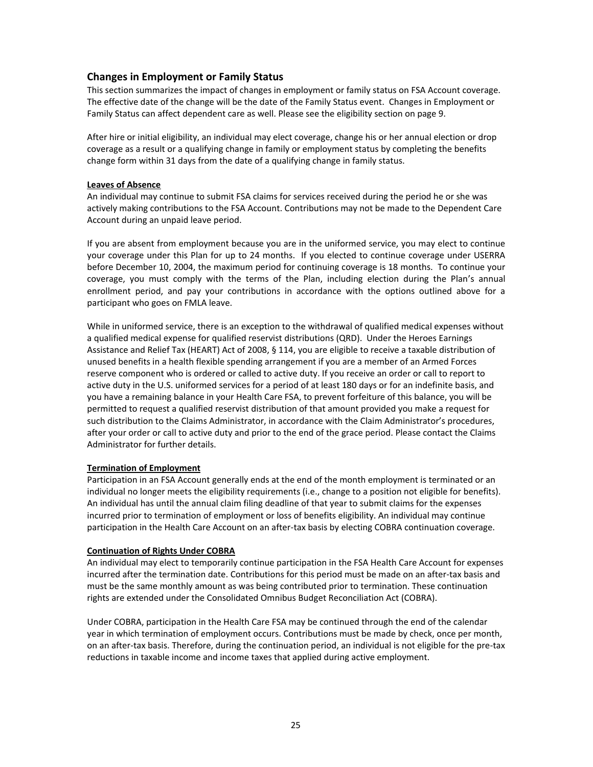# **Changes in Employment or Family Status**

This section summarizes the impact of changes in employment or family status on FSA Account coverage. The effective date of the change will be the date of the Family Status event. Changes in Employment or Family Status can affect dependent care as well. Please see the eligibility section on page 9.

After hire or initial eligibility, an individual may elect coverage, change his or her annual election or drop coverage as a result or a qualifying change in family or employment status by completing the benefits change form within 31 days from the date of a qualifying change in family status.

### **Leaves of Absence**

An individual may continue to submit FSA claims for services received during the period he or she was actively making contributions to the FSA Account. Contributions may not be made to the Dependent Care Account during an unpaid leave period.

If you are absent from employment because you are in the uniformed service, you may elect to continue your coverage under this Plan for up to 24 months. If you elected to continue coverage under USERRA before December 10, 2004, the maximum period for continuing coverage is 18 months. To continue your coverage, you must comply with the terms of the Plan, including election during the Plan's annual enrollment period, and pay your contributions in accordance with the options outlined above for a participant who goes on FMLA leave.

While in uniformed service, there is an exception to the withdrawal of qualified medical expenses without a qualified medical expense for qualified reservist distributions (QRD). Under the Heroes Earnings Assistance and Relief Tax (HEART) Act of 2008, § 114, you are eligible to receive a taxable distribution of unused benefits in a health flexible spending arrangement if you are a member of an Armed Forces reserve component who is ordered or called to active duty. If you receive an order or call to report to active duty in the U.S. uniformed services for a period of at least 180 days or for an indefinite basis, and you have a remaining balance in your Health Care FSA, to prevent forfeiture of this balance, you will be permitted to request a qualified reservist distribution of that amount provided you make a request for such distribution to the Claims Administrator, in accordance with the Claim Administrator's procedures, after your order or call to active duty and prior to the end of the grace period. Please contact the Claims Administrator for further details.

## **Termination of Employment**

Participation in an FSA Account generally ends at the end of the month employment is terminated or an individual no longer meets the eligibility requirements (i.e., change to a position not eligible for benefits). An individual has until the annual claim filing deadline of that year to submit claims for the expenses incurred prior to termination of employment or loss of benefits eligibility. An individual may continue participation in the Health Care Account on an after-tax basis by electing COBRA continuation coverage.

### **Continuation of Rights Under COBRA**

An individual may elect to temporarily continue participation in the FSA Health Care Account for expenses incurred after the termination date. Contributions for this period must be made on an after-tax basis and must be the same monthly amount as was being contributed prior to termination. These continuation rights are extended under the Consolidated Omnibus Budget Reconciliation Act (COBRA).

Under COBRA, participation in the Health Care FSA may be continued through the end of the calendar year in which termination of employment occurs. Contributions must be made by check, once per month, on an after-tax basis. Therefore, during the continuation period, an individual is not eligible for the pre-tax reductions in taxable income and income taxes that applied during active employment.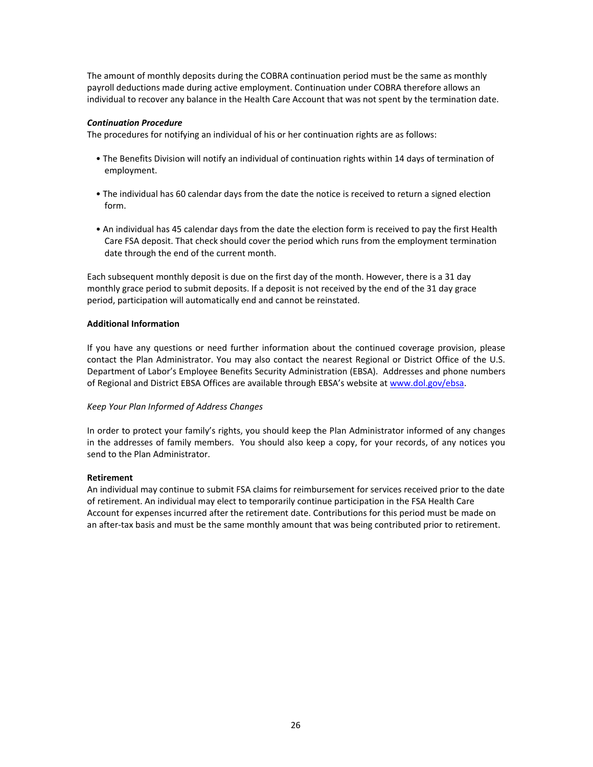The amount of monthly deposits during the COBRA continuation period must be the same as monthly payroll deductions made during active employment. Continuation under COBRA therefore allows an individual to recover any balance in the Health Care Account that was not spent by the termination date.

### *Continuation Procedure*

The procedures for notifying an individual of his or her continuation rights are as follows:

- The Benefits Division will notify an individual of continuation rights within 14 days of termination of employment.
- The individual has 60 calendar days from the date the notice is received to return a signed election form.
- An individual has 45 calendar days from the date the election form is received to pay the first Health Care FSA deposit. That check should cover the period which runs from the employment termination date through the end of the current month.

Each subsequent monthly deposit is due on the first day of the month. However, there is a 31 day monthly grace period to submit deposits. If a deposit is not received by the end of the 31 day grace period, participation will automatically end and cannot be reinstated.

### **Additional Information**

If you have any questions or need further information about the continued coverage provision, please contact the Plan Administrator. You may also contact the nearest Regional or District Office of the U.S. Department of Labor's Employee Benefits Security Administration (EBSA). Addresses and phone numbers of Regional and District EBSA Offices are available through EBSA's website at [www.dol.gov/ebsa.](http://www.dol.gov/ebsa)

## *Keep Your Plan Informed of Address Changes*

In order to protect your family's rights, you should keep the Plan Administrator informed of any changes in the addresses of family members. You should also keep a copy, for your records, of any notices you send to the Plan Administrator.

### **Retirement**

An individual may continue to submit FSA claims for reimbursement for services received prior to the date of retirement. An individual may elect to temporarily continue participation in the FSA Health Care Account for expenses incurred after the retirement date. Contributions for this period must be made on an after-tax basis and must be the same monthly amount that was being contributed prior to retirement.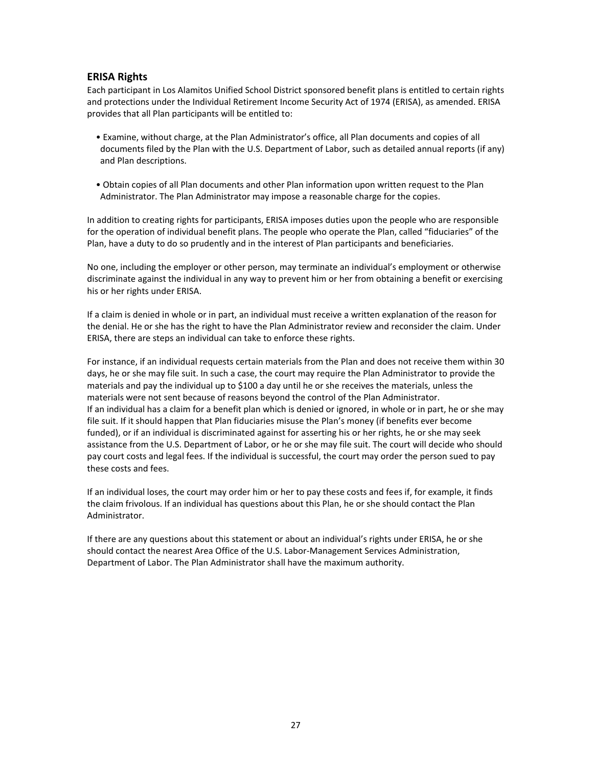# **ERISA Rights**

Each participant in Los Alamitos Unified School District sponsored benefit plans is entitled to certain rights and protections under the Individual Retirement Income Security Act of 1974 (ERISA), as amended. ERISA provides that all Plan participants will be entitled to:

- Examine, without charge, at the Plan Administrator's office, all Plan documents and copies of all documents filed by the Plan with the U.S. Department of Labor, such as detailed annual reports (if any) and Plan descriptions.
- Obtain copies of all Plan documents and other Plan information upon written request to the Plan Administrator. The Plan Administrator may impose a reasonable charge for the copies.

In addition to creating rights for participants, ERISA imposes duties upon the people who are responsible for the operation of individual benefit plans. The people who operate the Plan, called "fiduciaries" of the Plan, have a duty to do so prudently and in the interest of Plan participants and beneficiaries.

No one, including the employer or other person, may terminate an individual's employment or otherwise discriminate against the individual in any way to prevent him or her from obtaining a benefit or exercising his or her rights under ERISA.

If a claim is denied in whole or in part, an individual must receive a written explanation of the reason for the denial. He or she has the right to have the Plan Administrator review and reconsider the claim. Under ERISA, there are steps an individual can take to enforce these rights.

For instance, if an individual requests certain materials from the Plan and does not receive them within 30 days, he or she may file suit. In such a case, the court may require the Plan Administrator to provide the materials and pay the individual up to \$100 a day until he or she receives the materials, unless the materials were not sent because of reasons beyond the control of the Plan Administrator. If an individual has a claim for a benefit plan which is denied or ignored, in whole or in part, he or she may file suit. If it should happen that Plan fiduciaries misuse the Plan's money (if benefits ever become funded), or if an individual is discriminated against for asserting his or her rights, he or she may seek assistance from the U.S. Department of Labor, or he or she may file suit. The court will decide who should pay court costs and legal fees. If the individual is successful, the court may order the person sued to pay these costs and fees.

If an individual loses, the court may order him or her to pay these costs and fees if, for example, it finds the claim frivolous. If an individual has questions about this Plan, he or she should contact the Plan Administrator.

If there are any questions about this statement or about an individual's rights under ERISA, he or she should contact the nearest Area Office of the U.S. Labor-Management Services Administration, Department of Labor. The Plan Administrator shall have the maximum authority.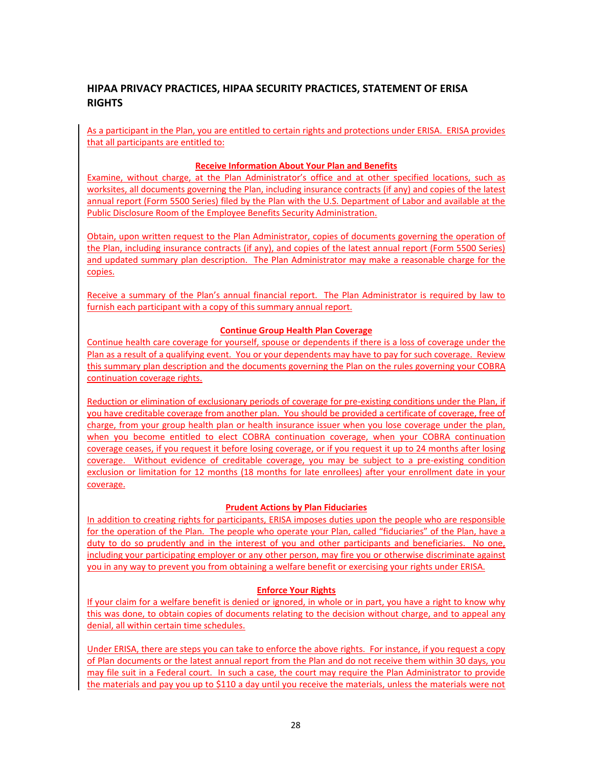# **HIPAA PRIVACY PRACTICES, HIPAA SECURITY PRACTICES, STATEMENT OF ERISA RIGHTS**

As a participant in the Plan, you are entitled to certain rights and protections under ERISA. ERISA provides that all participants are entitled to:

## **Receive Information About Your Plan and Benefits**

Examine, without charge, at the Plan Administrator's office and at other specified locations, such as worksites, all documents governing the Plan, including insurance contracts (if any) and copies of the latest annual report (Form 5500 Series) filed by the Plan with the U.S. Department of Labor and available at the Public Disclosure Room of the Employee Benefits Security Administration.

Obtain, upon written request to the Plan Administrator, copies of documents governing the operation of the Plan, including insurance contracts (if any), and copies of the latest annual report (Form 5500 Series) and updated summary plan description. The Plan Administrator may make a reasonable charge for the copies.

Receive a summary of the Plan's annual financial report. The Plan Administrator is required by law to furnish each participant with a copy of this summary annual report.

# **Continue Group Health Plan Coverage**

Continue health care coverage for yourself, spouse or dependents if there is a loss of coverage under the Plan as a result of a qualifying event. You or your dependents may have to pay for such coverage. Review this summary plan description and the documents governing the Plan on the rules governing your COBRA continuation coverage rights.

Reduction or elimination of exclusionary periods of coverage for pre-existing conditions under the Plan, if you have creditable coverage from another plan. You should be provided a certificate of coverage, free of charge, from your group health plan or health insurance issuer when you lose coverage under the plan, when you become entitled to elect COBRA continuation coverage, when your COBRA continuation coverage ceases, if you request it before losing coverage, or if you request it up to 24 months after losing coverage. Without evidence of creditable coverage, you may be subject to a pre-existing condition exclusion or limitation for 12 months (18 months for late enrollees) after your enrollment date in your coverage.

## **Prudent Actions by Plan Fiduciaries**

In addition to creating rights for participants, ERISA imposes duties upon the people who are responsible for the operation of the Plan. The people who operate your Plan, called "fiduciaries" of the Plan, have a duty to do so prudently and in the interest of you and other participants and beneficiaries. No one, including your participating employer or any other person, may fire you or otherwise discriminate against you in any way to prevent you from obtaining a welfare benefit or exercising your rights under ERISA.

## **Enforce Your Rights**

If your claim for a welfare benefit is denied or ignored, in whole or in part, you have a right to know why this was done, to obtain copies of documents relating to the decision without charge, and to appeal any denial, all within certain time schedules.

Under ERISA, there are steps you can take to enforce the above rights. For instance, if you request a copy of Plan documents or the latest annual report from the Plan and do not receive them within 30 days, you may file suit in a Federal court. In such a case, the court may require the Plan Administrator to provide the materials and pay you up to \$110 a day until you receive the materials, unless the materials were not